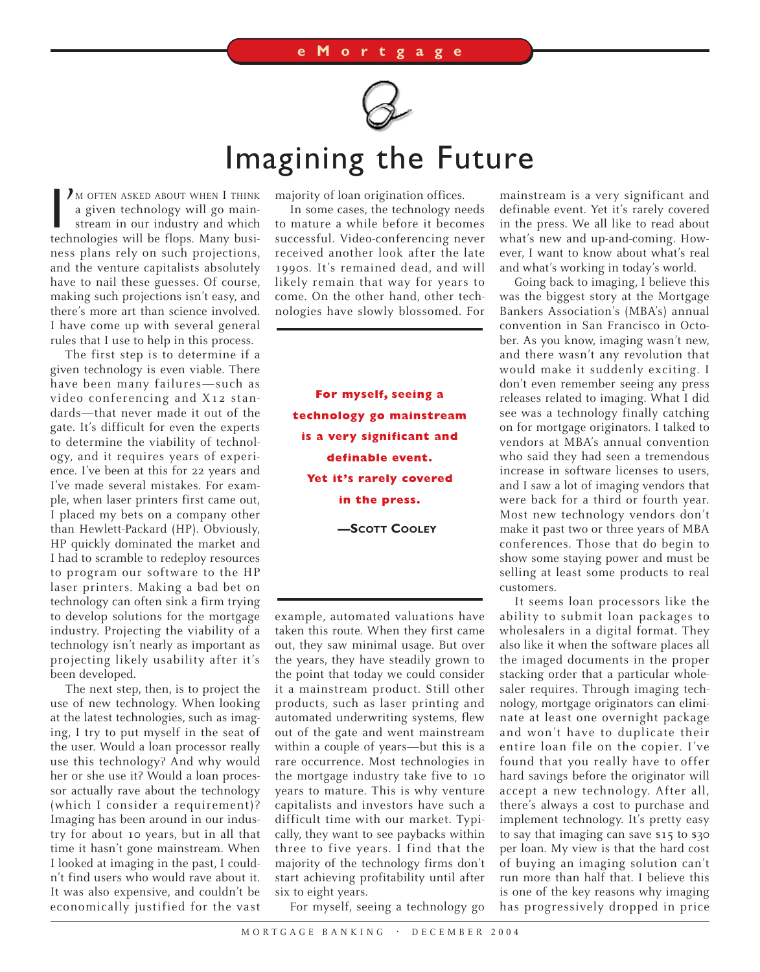

## Imagining the Future

I'M OFTEN ASKED ABOUT WHEN I THINK<br>a given technology will go main-<br>stream in our industry and which<br>technologies will be flops. Many busi-I M OFTEN ASKED ABOUT WHEN I THINK a given technology will go mainstream in our industry and which ness plans rely on such projections, and the venture capitalists absolutely have to nail these guesses. Of course, making such projections isn't easy, and there's more art than science involved. I have come up with several general rules that I use to help in this process.

The first step is to determine if a given technology is even viable. There have been many failures—such as video conferencing and X12 standards—that never made it out of the gate. It's difficult for even the experts to determine the viability of technology, and it requires years of experience. I've been at this for 22 years and I've made several mistakes. For example, when laser printers first came out, I placed my bets on a company other than Hewlett-Packard (HP). Obviously, HP quickly dominated the market and I had to scramble to redeploy resources to program our software to the HP laser printers. Making a bad bet on technology can often sink a firm trying to develop solutions for the mortgage industry. Projecting the viability of a technology isn't nearly as important as projecting likely usability after it's been developed.

The next step, then, is to project the use of new technology. When looking at the latest technologies, such as imaging, I try to put myself in the seat of the user. Would a loan processor really use this technology? And why would her or she use it? Would a loan processor actually rave about the technology (which I consider a requirement)? Imaging has been around in our industry for about 10 years, but in all that time it hasn't gone mainstream. When I looked at imaging in the past, I couldn't find users who would rave about it. It was also expensive, and couldn't be economically justified for the vast majority of loan origination offices.

In some cases, the technology needs to mature a while before it becomes successful. Video-conferencing never received another look after the late 1990s. It's remained dead, and will likely remain that way for years to come. On the other hand, other technologies have slowly blossomed. For

**For myself, seeing a technology go mainstream is a very significant and definable event. Yet it's rarely covered in the press. —SCOTT COOLEY**

example, automated valuations have taken this route. When they first came out, they saw minimal usage. But over the years, they have steadily grown to the point that today we could consider it a mainstream product. Still other products, such as laser printing and automated underwriting systems, flew out of the gate and went mainstream within a couple of years—but this is a rare occurrence. Most technologies in the mortgage industry take five to 10 years to mature. This is why venture capitalists and investors have such a difficult time with our market. Typically, they want to see paybacks within three to five years. I find that the majority of the technology firms don't start achieving profitability until after six to eight years.

mainstream is a very significant and definable event. Yet it's rarely covered in the press. We all like to read about what's new and up-and-coming. However, I want to know about what's real and what's working in today's world.

Going back to imaging, I believe this was the biggest story at the Mortgage Bankers Association's (MBA's) annual convention in San Francisco in October. As you know, imaging wasn't new, and there wasn't any revolution that would make it suddenly exciting. I don't even remember seeing any press releases related to imaging. What I did see was a technology finally catching on for mortgage originators. I talked to vendors at MBA's annual convention who said they had seen a tremendous increase in software licenses to users, and I saw a lot of imaging vendors that were back for a third or fourth year. Most new technology vendors don't make it past two or three years of MBA conferences. Those that do begin to show some staying power and must be selling at least some products to real customers.

It seems loan processors like the ability to submit loan packages to wholesalers in a digital format. They also like it when the software places all the imaged documents in the proper stacking order that a particular wholesaler requires. Through imaging technology, mortgage originators can eliminate at least one overnight package and won't have to duplicate their entire loan file on the copier. I've found that you really have to offer hard savings before the originator will accept a new technology. After all, there's always a cost to purchase and implement technology. It's pretty easy to say that imaging can save \$15 to \$30 per loan. My view is that the hard cost of buying an imaging solution can't run more than half that. I believe this is one of the key reasons why imaging has progressively dropped in price

For myself, seeing a technology go